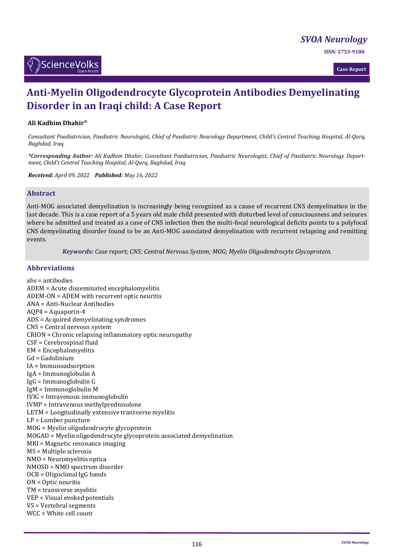*[SVOA Neurology](https://sciencevolks.com/neurology/)*

**ISSN: 2753-9180** 



**Case Report**

# **Anti-Myelin Oligodendrocyte Glycoprotein Antibodies Demyelinating Disorder in an Iraqi child: A Case Report**

## **Ali Kadhim Dhahir\***

*Consultant Paediatrician, Paediatric Neurologist, Chief of Paediatric Neurology Department, Child's Central Teaching Hospital, Al-Qarq, Baghdad, Iraq.*

*\*Corresponding Author: Ali Kadhim Dhahir, Consultant Paediatrician, Paediatric Neurologist, Chief of Paediatric Neurology Department, Child's Central Teaching Hospital, Al-Qarq, Baghdad, Iraq.*

*Received: April 09, 2022 Published: May 16, 2022*

## **Abstract**

Anti-MOG associated demyelination is increasingly being recognized as a cause of recurrent CNS demyelination in the last decade. This is a case report of a 5 years old male child presented with disturbed level of consciousness and seizures where he admitted and treated as a case of CNS infection then the multi-focal neurological deficits points to a polyfocal CNS demyelinating disorder found to be an Anti-MOG associated demyelination with recurrent relapsing and remitting events.

*Keywords: Case report; CNS; Central Nervous System; MOG; Myelin Oligodendrocyte Glycoprotein.*

## **Abbreviations**

abs = antibodies ADEM = Acute disseminated encephalomyelitis ADEM-ON = ADEM with recurrent optic neuritis ANA = Anti-Nuclear Antibodies AQP4 = Aquaporin-4 ADS = Acquired demyelinating syndromes CNS = Central nervous system CRION = Chronic relapsing inflammatory optic neuropathy CSF = Cerebrospinal fluid EM = Encephalomyelitis Gd = Gadolinium IA = Immunoadsorption IgA = Immunoglobulin A IgG = Immunoglobulin G IgM = Immunoglobulin M IVIG = Intravenous immunoglobulin IVMP = Intravenous methylprednisolone LETM = Longitudinally extensive transverse myelitis LP = Lumber puncture MOG = Myelin oligodendrocyte glycoprotein MOGAD = Myelin oligodendrocyte glycoprotein associated demyelination MRI = Magnetic resonance imaging MS = Multiple sclerosis NMO = Neuromyelitis optica NMOSD = NMO spectrum disorder OCB = Oligoclonal IgG bands ON = Optic neuritis TM = transverse myelitis VEP = Visual evoked potentials VS = Vertebral segments WCC = White cell count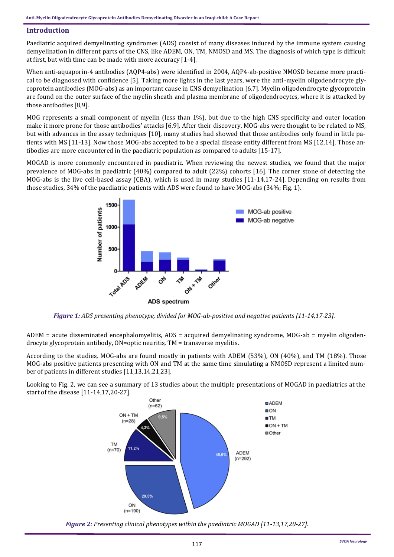## **Introduction**

Paediatric acquired demyelinating syndromes (ADS) consist of many diseases induced by the immune system causing demyelination in different parts of the CNS, like ADEM, ON, TM, NMOSD and MS. The diagnosis of which type is difficult at first, but with time can be made with more accuracy [1-4].

When anti-aquaporin-4 antibodies (AQP4-abs) were identified in 2004, AQP4-ab-positive NMOSD became more practical to be diagnosed with confidence [5]. Taking more lights in the last years, were the anti-myelin oligodendrocyte glycoprotein antibodies (MOG-abs) as an important cause in CNS demyelination [6,7]. Myelin oligodendrocyte glycoprotein are found on the outer surface of the myelin sheath and plasma membrane of oligodendrocytes, where it is attacked by those antibodies [8,9].

MOG represents a small component of myelin (less than 1%), but due to the high CNS specificity and outer location make it more prone for those antibodies' attacks [6,9]. After their discovery, MOG-abs were thought to be related to MS, but with advances in the assay techniques [10], many studies had showed that those antibodies only found in little patients with MS [11-13]. Now those MOG-abs accepted to be a special disease entity different from MS [12,14]. Those antibodies are more encountered in the paediatric population as compared to adults [15-17].

MOGAD is more commonly encountered in paediatric. When reviewing the newest studies, we found that the major prevalence of MOG-abs in paediatric (40%) compared to adult (22%) cohorts [16]. The corner stone of detecting the MOG-abs is the live cell-based assay (CBA), which is used in many studies [11-14,17-24]. Depending on results from those studies, 34% of the paediatric patients with ADS were found to have MOG-abs (34%; Fig. 1).



*Figure 1: ADS presenting phenotype, divided for MOG-ab-positive and negative patients [11-14,17-23].*

ADEM = acute disseminated encephalomyelitis, ADS = acquired demyelinating syndrome, MOG-ab = myelin oligodendrocyte glycoprotein antibody, ON=optic neuritis, TM = transverse myelitis.

According to the studies, MOG-abs are found mostly in patients with ADEM (53%), ON (40%), and TM (18%). Those MOG-abs positive patients presenting with ON and TM at the same time simulating a NMOSD represent a limited number of patients in different studies [11,13,14,21,23].

Looking to Fig. 2, we can see a summary of 13 studies about the multiple presentations of MOGAD in paediatrics at the start of the disease [11-14,17,20-27].



*Figure 2: Presenting clinical phenotypes within the paediatric MOGAD [11-13,17,20-27].*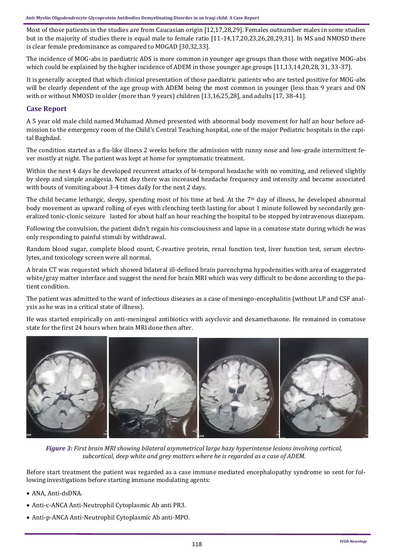Most of those patients in the studies are from Caucasian origin [12,17,28,29]. Females outnumber males in some studies but in the majority of studies there is equal male to female ratio [11-14,17,20,23,26,28,29,31]. In MS and NMOSD there is clear female predominance as compared to MOGAD [30,32,33].

The incidence of MOG-abs in paediatric ADS is more common in younger age groups than those with negative MOG-abs which could be explained by the higher incidence of ADEM in those younger age groups [11,13,14,20,28, 31, 33-37].

It is generally accepted that which clinical presentation of those paediatric patients who are tested positive for MOG-abs will be clearly dependent of the age group with ADEM being the most common in younger (less than 9 years and ON with or without NMOSD in older (more than 9 years) children [13,16,25,28], and adults [17, 38-41].

# **Case Report**

A 5 year old male child named Muhamad Ahmed presented with abnormal body movement for half an hour before admission to the emergency room of the Child's Central Teaching hospital, one of the major Pediatric hospitals in the capital Baghdad.

The condition started as a flu-like illness 2 weeks before the admission with runny nose and low-grade intermittent fever mostly at night. The patient was kept at home for symptomatic treatment.

Within the next 4 days he developed recurrent attacks of bi-temporal headache with no vomiting, and relieved slightly by sleep and simple analgesia. Next day there was increased headache frequency and intensity and became associated with bouts of vomiting about 3-4 times daily for the next 2 days.

The child became lethargic, sleepy, spending most of his time at bed. At the  $7<sup>th</sup>$  day of illness, he developed abnormal body movement as upward rolling of eyes with clenching teeth lasting for about 1 minute followed by secondarily generalized tonic-clonic seizure lasted for about half an hour reaching the hospital to be stopped by intravenous diazepam.

Following the convulsion, the patient didn't regain his consciousness and lapse in a comatose state during which he was only responding to painful stimuli by withdrawal.

Random blood sugar, complete blood count, C-reactive protein, renal function test, liver function test, serum electrolytes, and toxicology screen were all normal.

A brain CT was requested which showed bilateral ill-defined brain parenchyma hypodensities with area of exaggerated white/gray matter interface and suggest the need for brain MRI which was very difficult to be done according to the patient condition.

The patient was admitted to the ward of infectious diseases as a case of meningo-encephalitis (without LP and CSF analysis as he was in a critical state of illness).

He was started empirically on anti-meningeal antibiotics with acyclovir and dexamethasone. He remained in comatose state for the first 24 hours when brain MRI done then after.



*Figure 3: First brain MRI showing bilateral asymmetrical large hazy hyperintense lesions involving cortical, subcortical, deep white and grey matters where he is regarded as a case of ADEM.*

Before start treatment the patient was regarded as a case immune mediated encephalopathy syndrome so sent for following investigations before starting immune modulating agents:

- ANA, Anti-dsDNA.
- Anti-c-ANCA Anti-Neutrophil Cytoplasmic Ab anti PR3.
- Anti-p-ANCA Anti-Neutrophil Cytoplasmic Ab anti-MPO.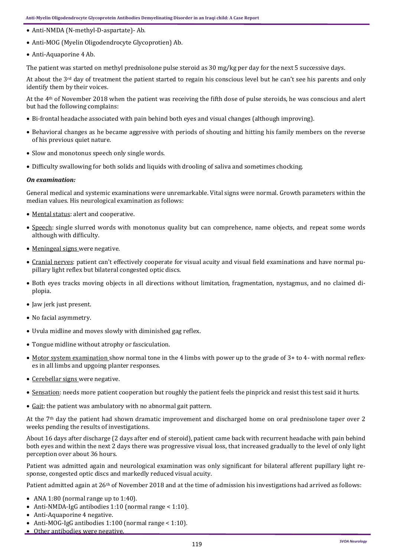- Anti-NMDA (N-methyl-D-aspartate)- Ab.
- Anti-MOG (Myelin Oligodendrocyte Glycoprotien) Ab.
- Anti-Aquaporine 4 Ab.

The patient was started on methyl prednisolone pulse steroid as 30 mg/kg per day for the next 5 successive days.

At about the 3rd day of treatment the patient started to regain his conscious level but he can't see his parents and only identify them by their voices.

At the 4th of November 2018 when the patient was receiving the fifth dose of pulse steroids, he was conscious and alert but had the following complains:

- Bi-frontal headache associated with pain behind both eyes and visual changes (although improving).
- Behavioral changes as he became aggressive with periods of shouting and hitting his family members on the reverse of his previous quiet nature.
- Slow and monotonus speech only single words.
- Difficulty swallowing for both solids and liquids with drooling of saliva and sometimes chocking.

## *On examination:*

General medical and systemic examinations were unremarkable. Vital signs were normal. Growth parameters within the median values. His neurological examination as follows:

- Mental status: alert and cooperative.
- Speech: single slurred words with monotonus quality but can comprehence, name objects, and repeat some words although with difficulty.
- Meningeal signs were negative.
- Cranial nerves: patient can't effectively cooperate for visual acuity and visual field examinations and have normal pupillary light reflex but bilateral congested optic discs.
- Both eyes tracks moving objects in all directions without limitation, fragmentation, nystagmus, and no claimed diplopia.
- Jaw jerk just present.
- No facial asymmetry.
- Uvula midline and moves slowly with diminished gag reflex.
- Tongue midline without atrophy or fasciculation.
- Motor system examination show normal tone in the 4 limbs with power up to the grade of 3+ to 4- with normal reflexes in all limbs and upgoing planter responses.
- Cerebellar signs were negative.
- Sensation: needs more patient cooperation but roughly the patient feels the pinprick and resist this test said it hurts.
- Gait: the patient was ambulatory with no abnormal gait pattern.

At the  $7<sup>th</sup>$  day the patient had shown dramatic improvement and discharged home on oral prednisolone taper over 2 weeks pending the results of investigations.

About 16 days after discharge (2 days after end of steroid), patient came back with recurrent headache with pain behind both eyes and within the next 2 days there was progressive visual loss, that increased gradually to the level of only light perception over about 36 hours.

Patient was admitted again and neurological examination was only significant for bilateral afferent pupillary light response, congested optic discs and markedly reduced visual acuity.

Patient admitted again at 26<sup>th</sup> of November 2018 and at the time of admission his investigations had arrived as follows:

- ANA 1:80 (normal range up to 1:40).
- Anti-NMDA-IgG antibodies 1:10 (normal range < 1:10).
- Anti-Aquaporine 4 negative.
- Anti-MOG-IgG antibodies 1:100 (normal range < 1:10).
- Other antibodies were negative.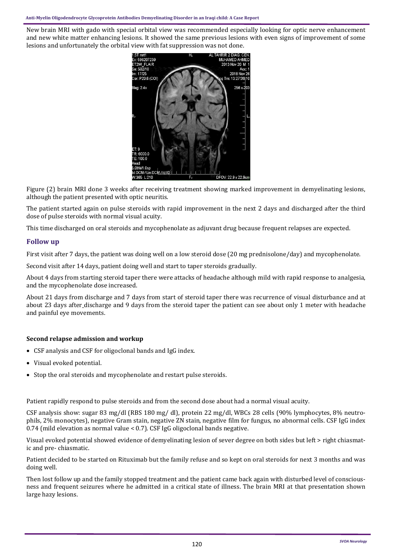New brain MRI with gado with special orbital view was recommended especially looking for optic nerve enhancement and new white matter enhancing lesions. It showed the same previous lesions with even signs of improvement of some lesions and unfortunately the orbital view with fat suppression was not done.



Figure (2) brain MRI done 3 weeks after receiving treatment showing marked improvement in demyelinating lesions, although the patient presented with optic neuritis.

The patient started again on pulse steroids with rapid improvement in the next 2 days and discharged after the third dose of pulse steroids with normal visual acuity.

This time discharged on oral steroids and mycophenolate as adjuvant drug because frequent relapses are expected.

# **Follow up**

First visit after 7 days, the patient was doing well on a low steroid dose (20 mg prednisolone/day) and mycophenolate.

Second visit after 14 days, patient doing well and start to taper steroids gradually.

About 4 days from starting steroid taper there were attacks of headache although mild with rapid response to analgesia, and the mycophenolate dose increased.

About 21 days from discharge and 7 days from start of steroid taper there was recurrence of visual disturbance and at about 23 days after discharge and 9 days from the steroid taper the patient can see about only 1 meter with headache and painful eye movements.

# **Second relapse admission and workup**

- CSF analysis and CSF for oligoclonal bands and IgG index.
- Visual evoked potential.
- Stop the oral steroids and mycophenolate and restart pulse steroids.

Patient rapidly respond to pulse steroids and from the second dose about had a normal visual acuity.

CSF analysis show: sugar 83 mg/dl (RBS 180 mg/ dl), protein 22 mg/dl, WBCs 28 cells (90% lymphocytes, 8% neutrophils, 2% monocytes), negative Gram stain, negative ZN stain, negative film for fungus, no abnormal cells. CSF IgG index 0.74 (mild elevation as normal value < 0.7). CSF IgG oligoclonal bands negative.

Visual evoked potential showed evidence of demyelinating lesion of sever degree on both sides but left > right chiasmatic and pre- chiasmatic.

Patient decided to be started on Rituximab but the family refuse and so kept on oral steroids for next 3 months and was doing well.

Then lost follow up and the family stopped treatment and the patient came back again with disturbed level of consciousness and frequent seizures where he admitted in a critical state of illness. The brain MRI at that presentation shown large hazy lesions.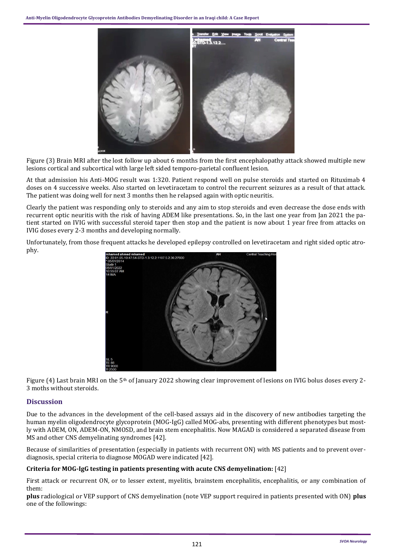

Figure (3) Brain MRI after the lost follow up about 6 months from the first encephalopathy attack showed multiple new lesions cortical and subcortical with large left sided temporo-parietal confluent lesion.

At that admission his Anti-MOG result was 1:320. Patient respond well on pulse steroids and started on Rituximab 4 doses on 4 successive weeks. Also started on levetiracetam to control the recurrent seizures as a result of that attack. The patient was doing well for next 3 months then he relapsed again with optic neuritis.

Clearly the patient was responding only to steroids and any aim to stop steroids and even decrease the dose ends with recurrent optic neuritis with the risk of having ADEM like presentations. So, in the last one year from Jan 2021 the patient started on IVIG with successful steroid taper then stop and the patient is now about 1 year free from attacks on IVIG doses every 2-3 months and developing normally.

Unfortunately, from those frequent attacks he developed epilepsy controlled on levetiracetam and right sided optic atrophy.



Figure (4) Last brain MRI on the 5<sup>th</sup> of January 2022 showing clear improvement of lesions on IVIG bolus doses every 2-3 moths without steroids.

# **Discussion**

Due to the advances in the development of the cell-based assays aid in the discovery of new antibodies targeting the human myelin oligodendrocyte glycoprotein (MOG-IgG) called MOG-abs, presenting with different phenotypes but mostly with ADEM, ON, ADEM-ON, NMOSD, and brain stem encephalitis. Now MAGAD is considered a separated disease from MS and other CNS demyelinating syndromes [42].

Because of similarities of presentation (especially in patients with recurrent ON) with MS patients and to prevent overdiagnosis, special criteria to diagnose MOGAD were indicated [42].

# **Criteria for MOG-IgG testing in patients presenting with acute CNS demyelination:** [42]

First attack or recurrent ON, or to lesser extent, myelitis, brainstem encephalitis, encephalitis, or any combination of them:

**plus** radiological or VEP support of CNS demyelination (note VEP support required in patients presented with ON) **plus** one of the followings: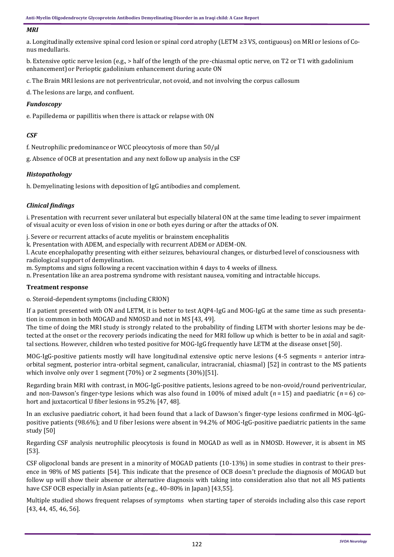#### *MRI*

a. Longitudinally extensive spinal cord lesion or spinal cord atrophy (LETM ≥3 VS, contiguous) on MRI or lesions of Conus medullaris.

b. Extensive optic nerve lesion (e.g., > half of the length of the pre-chiasmal optic nerve, on T2 or T1 with gadolinium enhancement) or Perioptic gadolinium enhancement during acute ON

c. The Brain MRI lesions are not periventricular, not ovoid, and not involving the corpus callosum

d. The lesions are large, and confluent.

## *Fundoscopy*

e. Papilledema or papillitis when there is attack or relapse with ON

# *CSF*

f. Neutrophilic predominance or WCC pleocytosis of more than 50/μl

g. Absence of OCB at presentation and any next follow up analysis in the CSF

# *Histopathology*

h. Demyelinating lesions with deposition of IgG antibodies and complement.

# *Clinical findings*

i. Presentation with recurrent sever unilateral but especially bilateral ON at the same time leading to sever impairment of visual acuity or even loss of vision in one or both eyes during or after the attacks of ON.

j. Severe or recurrent attacks of acute myelitis or brainstem encephalitis

k. Presentation with ADEM, and especially with recurrent ADEM or ADEM-ON.

l. Acute encephalopathy presenting with either seizures, behavioural changes, or disturbed level of consciousness with radiological support of demyelination.

m. Symptoms and signs following a recent vaccination within 4 days to 4 weeks of illness.

n. Presentation like an area postrema syndrome with resistant nausea, vomiting and intractable hiccups.

# **Treatment response**

o. Steroid-dependent symptoms (including CRION)

If a patient presented with ON and LETM, it is better to test AQP4-IgG and MOG-IgG at the same time as such presentation is common in both MOGAD and NMOSD and not in MS [[43,](https://www.ncbi.nlm.nih.gov/pmc/articles/PMC5932838/#CR3) [49\].](https://www.ncbi.nlm.nih.gov/pmc/articles/PMC5932838/#CR39)

The time of doing the MRI study is strongly related to the probability of finding LETM with shorter lesions may be detected at the onset or the recovery periods indicating the need for MRI follow up which is better to be in axial and sagittal sections. However, children who tested positive for MOG-IgG frequently have LETM at the disease onset [50].

MOG-IgG-positive patients mostly will have longitudinal extensive optic nerve lesions (4-5 segments = anterior intraorbital segment, posterior intra-orbital segment, canalicular, intracranial, chiasmal) [\[52\]](https://www.ncbi.nlm.nih.gov/pmc/articles/PMC5932838/#CR45) in contrast to the MS patients which involve only over 1 segment (70%) or 2 segments (30%)[[51\].](https://www.ncbi.nlm.nih.gov/pmc/articles/PMC5932838/#CR44)

Regarding brain MRI with contrast, in MOG-IgG-positive patients, lesions agreed to be non-ovoid/round periventricular, and non-Dawson's finger-type lesions which was also found in 100% of mixed adult (*n* = 15) and paediatric (*n* = 6) cohort and juxtacortical U fiber lesions in 95.2% [\[47,](https://www.ncbi.nlm.nih.gov/pmc/articles/PMC5932838/#CR36) [48\]](https://www.ncbi.nlm.nih.gov/pmc/articles/PMC5932838/#CR37).

In an exclusive paediatric cohort, it had been found that a lack of Dawson's finger-type lesions confirmed in MOG-IgGpositive patients (98.6%); and U fiber lesions were absent in 94.2% of MOG-IgG-positive paediatric patients in the same study [[50\]](https://www.ncbi.nlm.nih.gov/pmc/articles/PMC5932838/#CR41)

Regarding CSF analysis neutrophilic pleocytosis is found in MOGAD as well as in NMOSD. However, it is absent in MS [[53\]](https://www.ncbi.nlm.nih.gov/pmc/articles/PMC5932838/#CR51).

CSF oligoclonal bands are present in a minority of MOGAD patients (10-13%) in some studies in contrast to their presence in 98% of MS patients [54]. This indicate that the presence of OCB doesn't preclude the diagnosis of MOGAD but follow up will show their absence or alternative diagnosis with taking into consideration also that not all MS patients have CSF OCB especially in Asian patients (e.g., 40-80% in Japan) [\[43,](https://www.ncbi.nlm.nih.gov/pmc/articles/PMC5932838/#CR3)[55\]](https://www.ncbi.nlm.nih.gov/pmc/articles/PMC5932838/#CR54).

Multiple studied shows frequent relapses of symptoms when starting taper of steroids including also this case report [[43,](https://www.ncbi.nlm.nih.gov/pmc/articles/PMC5932838/#CR3) [44,](https://www.ncbi.nlm.nih.gov/pmc/articles/PMC5932838/#CR18) [45,](https://www.ncbi.nlm.nih.gov/pmc/articles/PMC5932838/#CR20) [46,](https://www.ncbi.nlm.nih.gov/pmc/articles/PMC5932838/#CR22) [56\]](https://www.ncbi.nlm.nih.gov/pmc/articles/PMC5932838/#CR62).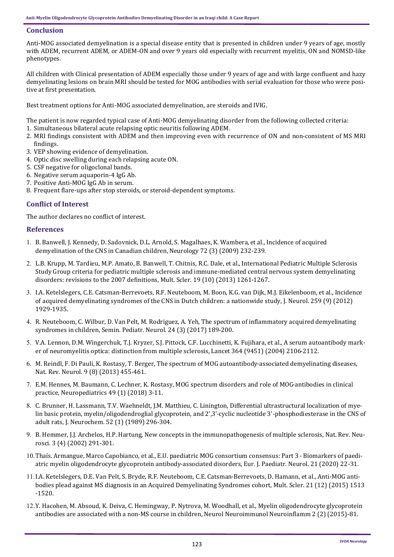## **Conclusion**

Anti-MOG associated demyelination is a special disease entity that is presented in children under 9 years of age, mostly with ADEM, recurrent ADEM, or ADEM-ON and over 9 years old especially with recurrent myelitis, ON and NOMSD-like phenotypes.

All children with Clinical presentation of ADEM especially those under 9 years of age and with large confluent and hazy demyelinating lesions on brain MRI should be tested for MOG antibodies with serial evaluation for those who were positive at first presentation.

Best treatment options for Anti-MOG associated demyelination, are steroids and IVIG.

The patient is now regarded typical case of Anti-MOG demyelinating disorder from the following collected criteria:

- 1. Simultaneous bilateral acute relapsing optic neuritis following ADEM.
- 2. MRI findings consistent with ADEM and then improving even with recurrence of ON and non-consistent of MS MRI findings.
- 3. VEP showing evidence of demyelination.
- 4. Optic disc swelling during each relapsing acute ON.
- 5. CSF negative for oligoclonal bands.
- 6. Negative serum aquaporin-4 IgG Ab.
- 7. Positive Anti-MOG IgG Ab in serum.
- 8. Frequent flare-ups after stop steroids, or steroid-dependent symptoms.

## **Conflict of Interest**

The author declares no conflict of interest.

## **References**

- [B. Banwell, J. Kennedy, D. Sadovnick, D.L. Arnold, S. Magalhaes, K. Wambera,](https://pubmed.ncbi.nlm.nih.gov/19153370/#:~:text=Conclusion%3A%20The%20incidence%20of%20pediatric,0.9%20per%20100%2C000%20Canadian%20children.) et al., Incidence of acquired [demyelination of the CNS in Canadian children,](https://pubmed.ncbi.nlm.nih.gov/19153370/#:~:text=Conclusion%3A%20The%20incidence%20of%20pediatric,0.9%20per%20100%2C000%20Canadian%20children.) Neurology 72 (3) (2009) 232-239.
- [L.B. Krupp, M. Tardieu, M.P. Amato, B. Banwell, T. Chitnis, R.C. Dale, et al.,](https://pubmed.ncbi.nlm.nih.gov/23572237/) International Pediatric Multiple Sclerosis Study Group criteria for pediatric multiple sclerosis and immune-[mediated central nervous system demyelinating](https://pubmed.ncbi.nlm.nih.gov/23572237/) [disorders: revisions to the 2007 definitions, Mult. Scler. 19 \(10\) \(2013\) 1261](https://pubmed.ncbi.nlm.nih.gov/23572237/)-1267.
- I.A. Ketelslegers, C.E. Catsman-[Berrevoets, R.F. Neuteboom, M. Boon, K.G. van Dijk, M.J. Eikelenboom, et al., Incidence](https://pubmed.ncbi.nlm.nih.gov/22349866/)  [of acquired demyelinating syndromes of the CNS in Dutch children: a nationwide study, J. Neurol. 259 \(9\) \(2012\)](https://pubmed.ncbi.nlm.nih.gov/22349866/)  1929-[1935.](https://pubmed.ncbi.nlm.nih.gov/22349866/)
- [R. Neuteboom, C. Wilbur, D. Van Pelt, M. Rodriguez, A. Yeh, The spectrum of inflammatory acquired demyelinating](https://pubmed.ncbi.nlm.nih.gov/29103426/)  [syndromes in children, Semin. Pediatr. Neurol. 24 \(3\) \(2017\) 189](https://pubmed.ncbi.nlm.nih.gov/29103426/)-200.
- 5. [V.A. Lennon, D.M. Wingerchuk, T.J. Kryzer, S.J. Pittock, C.F. Lucchinetti, K. Fujihara, et al., A serum autoantibody mark](https://pubmed.ncbi.nlm.nih.gov/15589308/)[er of neuromyelitis optica: distinction from multiple sclerosis, Lancet 364 \(9451\) \(2004\) 2106](https://pubmed.ncbi.nlm.nih.gov/15589308/)-2112.
- 6. [M. Reindl, F. Di Pauli, K. Rostasy, T. Berger, The spectrum of MOG autoantibody](https://pubmed.ncbi.nlm.nih.gov/23797245/)-associated demyelinating diseases, [Nat. Rev. Neurol. 9 \(8\) \(2013\) 455](https://pubmed.ncbi.nlm.nih.gov/23797245/)-461.
- [E.M. Hennes, M. Baumann, C. Lechner, K. Rostasy, MOG spectrum disorders and role of MOG](https://pubmed.ncbi.nlm.nih.gov/28859212/)-antibodies in clinical [practice, Neuropediatrics 49 \(1\) \(2018\) 3](https://pubmed.ncbi.nlm.nih.gov/28859212/)-11.
- [C. Brunner, H. Lassmann, T.V. Waehneldt, J.M. Matthieu, C. Linington, Differential ultrastructural localization of mye](https://pubmed.ncbi.nlm.nih.gov/2462020/)[lin basic protein, myelin/oligodendroglial glycoprotein, and 2',3'](https://pubmed.ncbi.nlm.nih.gov/2462020/)-cyclic nucleotide 3'-phosphodiesterase in the CNS of [adult rats, J. Neurochem. 52 \(1\) \(1989\) 296](https://pubmed.ncbi.nlm.nih.gov/2462020/)-304.
- 9. [B. Hemmer, J.J. Archelos, H.P. Hartung, New concepts in the immunopathogenesis of multiple sclerosis, Nat. Rev. Neu](https://www.nature.com/articles/nrn784)[rosci. 3 \(4\) \(2002\) 291](https://www.nature.com/articles/nrn784)-301.
- 10. Thaís. Armangue, Marco Capobianco, et al., E.U. paediatric MOG consortium consensus: Part 3 Biomarkers of paediatric myelin oligodendrocyte glycoprotein antibody-[associated disorders, Eur. J. Paediatr. Neurol. 21 \(2020\) 22](https://pubmed.ncbi.nlm.nih.gov/33191096/)-31.
- [I.A. Ketelslegers, D.E. Van Pelt, S. Bryde, R.F. Neuteboom, C.E. Catsman](https://pubmed.ncbi.nlm.nih.gov/25662345/)-Berrevoets, D. Hamann, et al., Anti-MOG anti[bodies plead against MS diagnosis in an Acquired Demyelinating Syndromes cohort, Mult. Scler. 21 \(12\) \(2015\) 1513](https://pubmed.ncbi.nlm.nih.gov/25662345/) -[1520.](https://pubmed.ncbi.nlm.nih.gov/25662345/)
- 12. Y. Hacohen, M. Absoud, K. Deiva, C. Hemingway, P. Nytrova, M. Woodhall, et al., Myelin oligodendrocyte glycoprotein antibodies are associated with a non-[MS course in children, Neurol Neuroimmunol Neuroinflamm 2 \(2\) \(2015\)](https://pubmed.ncbi.nlm.nih.gov/25798445/)-81.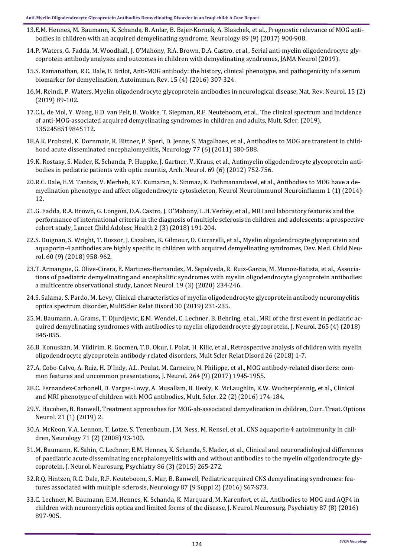- 13.E.M. Hennes, M. Baumann, K. Schanda, B. Anlar, B. Bajer-[Kornek, A. Blaschek, et al., Prognostic relevance of MOG anti](https://pubmed.ncbi.nlm.nih.gov/28768844/)[bodies in children with an acquired demyelinating syndrome, Neurology 89 \(9\) \(2017\) 900](https://pubmed.ncbi.nlm.nih.gov/28768844/)-908.
- 14.[P. Waters, G. Fadda, M. Woodhall, J. O'Mahony, R.A. Brown, D.A. Castro, et al., Serial anti](https://pubmed.ncbi.nlm.nih.gov/31545352/)-myelin oligodendrocyte gly[coprotein antibody analyses and outcomes in children with demyelinating syndromes, JAMA Neurol \(2019\).](https://pubmed.ncbi.nlm.nih.gov/31545352/)
- 15.S. Ramanathan, R.C. Dale, F. Brilot, Anti-[MOG antibody: the history, clinical phenotype, and pathogenicity of a serum](https://pubmed.ncbi.nlm.nih.gov/26708342/)  [biomarker for demyelination, Autoimmun. Rev. 15 \(4\) \(2016\) 307](https://pubmed.ncbi.nlm.nih.gov/26708342/)-324.
- 16.[M. Reindl, P. Waters, Myelin oligodendrocyte glycoprotein antibodies in neurological disease, Nat. Rev. Neurol. 15 \(2\)](https://pubmed.ncbi.nlm.nih.gov/30559466/)  [\(2019\) 89](https://pubmed.ncbi.nlm.nih.gov/30559466/)-102.
- 17.[C.L. de Mol, Y. Wong, E.D. van Pelt, B. Wokke, T. Siepman, R.F. Neuteboom, et al., The clinical spectrum and incidence](https://pubmed.ncbi.nlm.nih.gov/31094288/)  of anti-MOG-[associated acquired demyelinating syndromes in children and adults, Mult. Scler. \(2019\),](https://pubmed.ncbi.nlm.nih.gov/31094288/)  [1352458519845112.](https://pubmed.ncbi.nlm.nih.gov/31094288/)
- 18.[A.K. Probstel, K. Dornmair, R. Bittner, P. Sperl, D. Jenne, S. Magalhaes, et al., Antibodies to MOG are transient in child](https://pubmed.ncbi.nlm.nih.gov/21795651/#:~:text=Results%3A%20Twenty%2Dfive%20children%20who,patient%20with%20clinically%20isolated%20syndrome.)[hood acute disseminated encephalomyelitis, Neurology 77 \(6\) \(2011\) 580](https://pubmed.ncbi.nlm.nih.gov/21795651/#:~:text=Results%3A%20Twenty%2Dfive%20children%20who,patient%20with%20clinically%20isolated%20syndrome.)-588.
- 19.[K. Rostasy, S. Mader, K. Schanda, P. Huppke, J. Gartner, V. Kraus, et al., Antimyelin oligodendrocyte glycoprotein anti](https://pubmed.ncbi.nlm.nih.gov/22371853/)[bodies in pediatric patients with optic neuritis, Arch. Neurol. 69 \(6\) \(2012\) 752](https://pubmed.ncbi.nlm.nih.gov/22371853/)-756.
- 20.[R.C. Dale, E.M. Tantsis, V. Merheb, R.Y. Kumaran, N. Sinmaz, K. Pathmanandavel, et al., Antibodies to MOG have a de](https://www.ncbi.nlm.nih.gov/pmc/articles/PMC4202678/)[myelination phenotype and affect oligodendrocyte cytoskeleton, Neurol Neuroimmunol Neuroinflamm 1 \(1\) \(2014\)](https://www.ncbi.nlm.nih.gov/pmc/articles/PMC4202678/)- [12.](https://www.ncbi.nlm.nih.gov/pmc/articles/PMC4202678/)
- 21.[G. Fadda, R.A. Brown, G. Longoni, D.A. Castro, J. O'Mahony, L.H. Verhey, et al., MRI and laboratory features and the](https://pubmed.ncbi.nlm.nih.gov/30169254/)  [performance of international criteria in the diagnosis of multiple sclerosis in children and adolescents: a prospective](https://pubmed.ncbi.nlm.nih.gov/30169254/)  [cohort study, Lancet Child Adolesc Health 2 \(3\) \(2018\) 191](https://pubmed.ncbi.nlm.nih.gov/30169254/)-204.
- 22.[S. Duignan, S. Wright, T. Rossor, J. Cazabon, K. Gilmour, O. Ciccarelli, et al., Myelin oligodendrocyte glycoprotein and](https://pubmed.ncbi.nlm.nih.gov/29468668/)  aquaporin-[4 antibodies are highly specific in children with acquired demyelinating syndromes, Dev. Med. Child Neu](https://pubmed.ncbi.nlm.nih.gov/29468668/)[rol. 60 \(9\) \(2018\) 958](https://pubmed.ncbi.nlm.nih.gov/29468668/)-962.
- 23.T. Armangue, G. Olive-Cirera, E. Martinez-[Hernandez, M. Sepulveda, R. Ruiz](https://www.thelancet.com/journals/laneur/article/PIIS1474-4422(19)30488-0/fulltext)-Garcia, M. Munoz-Batista, et al., Associa[tions of paediatric demyelinating and encephalitic syndromes with myelin oligodendrocyte glycoprotein antibodies:](https://www.thelancet.com/journals/laneur/article/PIIS1474-4422(19)30488-0/fulltext)  [a multicentre observational study, Lancet Neurol. 19 \(3\) \(2020\) 234](https://www.thelancet.com/journals/laneur/article/PIIS1474-4422(19)30488-0/fulltext)-246.
- 24.[S. Salama, S. Pardo, M. Levy, Clinical characteristics of myelin oligodendrocyte glycoprotein antibody neuromyelitis](https://pubmed.ncbi.nlm.nih.gov/30825703/)  [optica spectrum disorder, MultScler Relat Disord 30 \(2019\) 231](https://pubmed.ncbi.nlm.nih.gov/30825703/)-235.
- 25.[M. Baumann, A. Grams, T. Djurdjevic, E.M. Wendel, C. Lechner, B. Behring, et al., MRI of the first event in pediatric ac](https://pubmed.ncbi.nlm.nih.gov/29423614/)[quired demyelinating syndromes with antibodies to myelin oligodendrocyte glycoprotein, J. Neurol. 265 \(4\) \(2018\)](https://pubmed.ncbi.nlm.nih.gov/29423614/)  845-[855.](https://pubmed.ncbi.nlm.nih.gov/29423614/)
- 26.[B. Konuskan, M. Yildirim, R. Gocmen, T.D. Okur, I. Polat, H. Kilic, et al., Retrospective analysis of children with myelin](https://pubmed.ncbi.nlm.nih.gov/30212767/)  oligodendrocyte glycoprotein antibody-[related disorders, Mult Scler Relat Disord 26 \(2018\) 1](https://pubmed.ncbi.nlm.nih.gov/30212767/)-7.
- 27.A. Cobo-[Calvo, A. Ruiz, H. D'Indy, A.L. Poulat, M. Carneiro, N. Philippe, et al., MOG antibody](https://pubmed.ncbi.nlm.nih.gov/28770374/)-related disorders: com[mon features and uncommon presentations, J. Neurol. 264 \(9\) \(2017\) 1945](https://pubmed.ncbi.nlm.nih.gov/28770374/)-1955.
- 28.C. Fernandez-Carbonell, D. Vargas-[Lowy, A. Musallam, B. Healy, K. McLaughlin, K.W. Wucherpfennig, et al., Clinical](https://pubmed.ncbi.nlm.nih.gov/26041801/)  [and MRI phenotype of children with MOG antibodies, Mult. Scler. 22 \(2\) \(2016\) 174](https://pubmed.ncbi.nlm.nih.gov/26041801/)-184.
- 29.Y. Hacohen, B. Banwell, Treatment approaches for MOG-ab-[associated demyelination in children, Curr. Treat. Options](https://pubmed.ncbi.nlm.nih.gov/30671648/)  [Neurol. 21 \(1\) \(2019\) 2.](https://pubmed.ncbi.nlm.nih.gov/30671648/)
- 30.[A. McKeon, V.A. Lennon, T. Lotze, S. Tenenbaum, J.M. Ness, M. Rensel, et al., CNS aquaporin](https://pubmed.ncbi.nlm.nih.gov/18509092/#:~:text=Forty%2Dthree%20of%2048%20patients,inflammatory%20CNS%20disease%20in%20children.)-4 autoimmunity in chil[dren, Neurology 71 \(2\) \(2008\) 93](https://pubmed.ncbi.nlm.nih.gov/18509092/#:~:text=Forty%2Dthree%20of%2048%20patients,inflammatory%20CNS%20disease%20in%20children.)-100.
- 31.[M. Baumann, K. Sahin, C. Lechner, E.M. Hennes, K. Schanda, S. Mader, et al., Clinical and neuroradiological differences](https://pubmed.ncbi.nlm.nih.gov/25121570/)  [of paediatric acute disseminating encephalomyelitis with and without antibodies to the myelin oligodendrocyte gly](https://pubmed.ncbi.nlm.nih.gov/25121570/)[coprotein, J. Neurol. Neurosurg. Psychiatry 86 \(3\) \(2015\) 265](https://pubmed.ncbi.nlm.nih.gov/25121570/)-272.
- 32.[R.Q. Hintzen, R.C. Dale, R.F. Neuteboom, S. Mar, B. Banwell, Pediatric acquired CNS demyelinating syndromes: fea](https://pubmed.ncbi.nlm.nih.gov/27572864/)[tures associated with multiple sclerosis, Neurology 87 \(9 Suppl 2\) \(2016\) S67](https://pubmed.ncbi.nlm.nih.gov/27572864/)-S73.
- 33.[C. Lechner, M. Baumann, E.M. Hennes, K. Schanda, K. Marquard, M. Karenfort, et al., Antibodies to MOG and AQP4 in](https://pubmed.ncbi.nlm.nih.gov/26645082/)  [children with neuromyelitis optica and limited forms of the disease, J. Neurol. Neurosurg. Psychiatry 87 \(8\) \(2016\)](https://pubmed.ncbi.nlm.nih.gov/26645082/)  897-[905.](https://pubmed.ncbi.nlm.nih.gov/26645082/)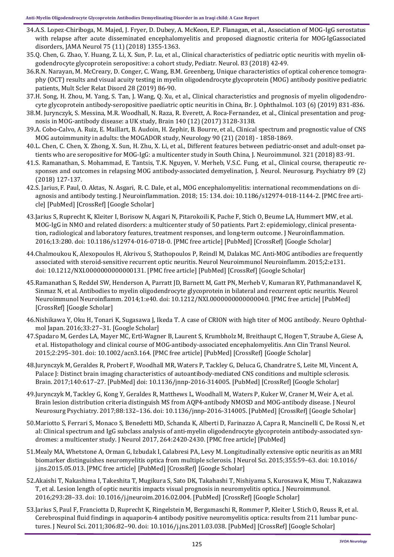- 34.A.S. Lopez-[Chiriboga, M. Majed, J. Fryer, D. Dubey, A. McKeon, E.P. Flanagan, et al., Association of MOG](https://pubmed.ncbi.nlm.nih.gov/30014148/)-IgG serostatus [with relapse after acute disseminated encephalomyelitis and proposed diagnostic criteria for MOG](https://pubmed.ncbi.nlm.nih.gov/30014148/)-IgGassociated [disorders, JAMA Neurol 75 \(11\) \(2018\) 1355](https://pubmed.ncbi.nlm.nih.gov/30014148/)-1363.
- 35.[Q. Chen, G. Zhao, Y. Huang, Z. Li, X. Sun, P. Lu, et al., Clinical characteristics of pediatric optic neuritis with myelin oli](https://pubmed.ncbi.nlm.nih.gov/29778487/)[godendrocyte glycoprotein seropositive: a cohort study, Pediatr. Neurol. 83 \(2018\) 42](https://pubmed.ncbi.nlm.nih.gov/29778487/)-49.
- 36.[R.N. Narayan, M. McCreary, D. Conger, C. Wang, B.M. Greenberg, Unique characteristics of optical coherence tomogra](https://pubmed.ncbi.nlm.nih.gov/30576847/)[phy \(OCT\) results and visual acuity testing in myelin oligodendrocyte glycoprotein \(MOG\) antibody positive pediatric](https://pubmed.ncbi.nlm.nih.gov/30576847/)  [patients, Mult Scler Relat Disord 28 \(2019\) 86](https://pubmed.ncbi.nlm.nih.gov/30576847/)-90.
- 37.[H. Song, H. Zhou, M. Yang, S. Tan, J. Wang, Q. Xu, et al., Clinical characteristics and prognosis of myelin oligodendro](https://pubmed.ncbi.nlm.nih.gov/30049802/)cyte glycoprotein antibody-[seropositive paediatric optic neuritis in China, Br. J. Ophthalmol. 103 \(6\) \(2019\) 831](https://pubmed.ncbi.nlm.nih.gov/30049802/)-836.
- 38.[M. Jurynczyk, S. Messina, M.R. Woodhall, N. Raza, R. Everett, A. Roca](https://pubmed.ncbi.nlm.nih.gov/29136091/)-Fernandez, et al., Clinical presentation and prognosis in MOG-[antibody disease: a UK study, Brain 140 \(12\) \(2017\) 3128](https://pubmed.ncbi.nlm.nih.gov/29136091/)-3138.
- 39.A. Cobo-[Calvo, A. Ruiz, E. Maillart, B. Audoin, H. Zephir, B. Bourre, et al., Clinical spectrum and prognostic value of CNS](https://pubmed.ncbi.nlm.nih.gov/29695592/)  [MOG autoimmunity in adults: the MOGADOR study, Neurology 90 \(21\) \(2018\)](https://pubmed.ncbi.nlm.nih.gov/29695592/) - 1858-1869.
- 40.[L. Chen, C. Chen, X. Zhong, X. Sun, H. Zhu, X. Li, et al., Different features between pediatric](https://pubmed.ncbi.nlm.nih.gov/29957392/)-onset and adult-onset patients who are seropositive for MOG-[IgG: a multicenter study in South China, J. Neuroimmunol. 321 \(2018\) 83](https://pubmed.ncbi.nlm.nih.gov/29957392/)-91.
- 41.[S. Ramanathan, S. Mohammad, E. Tantsis, T.K. Nguyen, V. Merheb, V.S.C. Fung, et al., Clinical course, therapeutic re](https://pubmed.ncbi.nlm.nih.gov/29142145/)sponses and outcomes in relapsing MOG antibody-[associated demyelination, J. Neurol. Neurosurg. Psychiatry 89 \(2\)](https://pubmed.ncbi.nlm.nih.gov/29142145/)  [\(2018\) 127](https://pubmed.ncbi.nlm.nih.gov/29142145/)-137.
- 42.[S. Jarius,](https://www.ncbi.nlm.nih.gov/pubmed/?term=Jarius%20S%5BAuthor%5D&cauthor=true&cauthor_uid=29724224) [F. Paul,](https://www.ncbi.nlm.nih.gov/pubmed/?term=Paul%20F%5BAuthor%5D&cauthor=true&cauthor_uid=29724224) [O. Aktas,](https://www.ncbi.nlm.nih.gov/pubmed/?term=Aktas%20O%5BAuthor%5D&cauthor=true&cauthor_uid=29724224) [N. Asgari,](https://www.ncbi.nlm.nih.gov/pubmed/?term=Asgari%20N%5BAuthor%5D&cauthor=true&cauthor_uid=29724224) [R. C. Dale,](https://www.ncbi.nlm.nih.gov/pubmed/?term=Dale%20RC%5BAuthor%5D&cauthor=true&cauthor_uid=29724224) et al., MOG encephalomyelitis: international recommendations on diagnosis and antibody testing. [J Neuroinflammation.](https://www.ncbi.nlm.nih.gov/pmc/articles/PMC5932838/) 2018; 15: 134. doi: 10.1186/s12974-018-1144-2. [[PMC free arti](https://www.ncbi.nlm.nih.gov/pmc/articles/PMC5086042/)[cle\]](https://www.ncbi.nlm.nih.gov/pmc/articles/PMC5086042/) [[PubMed\]](https://www.ncbi.nlm.nih.gov/pubmed/27793206) [\[CrossRef\]](https://dx.doi.org/10.1186%2Fs12974-016-0718-0) [\[Google Scholar\]](https://scholar.google.com/scholar_lookup?journal=J+Neuroinflammation&title=MOG-IgG+in+NMO+and+related+disorders:+a+multicenter+study+of+50+patients.+Part+2:+epidemiology,+clinical+presentation,+radiological+and+laboratory+features,+treatment+responses,+and+l)
- 43.Jarius S, Ruprecht K, Kleiter I, Borisow N, Asgari N, Pitarokoili K, Pache F, Stich O, Beume LA, Hummert MW, et al. MOG-IgG in NMO and related disorders: a multicenter study of 50 patients. Part 2: epidemiology, clinical presentation, radiological and laboratory features, treatment responses, and long-term outcome. J Neuroinflammation. 2016;13:280. doi: 10.1186/s12974-016-0718-0. [[PMC free article\]](https://www.ncbi.nlm.nih.gov/pmc/articles/PMC5086042/) [PubMed] [CrossRef] [Google Scholar]
- 44.Chalmoukou K, Alexopoulos H, Akrivou S, Stathopoulos P, Reindl M, Dalakas MC. Anti-MOG antibodies are frequently associated with steroid-sensitive recurrent optic neuritis. Neurol Neuroimmunol Neuroinflamm. 2015;2:e131. doi: 10.1212/NXI.0000000000000131. [\[PMC free article\]](https://www.ncbi.nlm.nih.gov/pmc/articles/PMC4496630/) [[PubMed\]](https://www.ncbi.nlm.nih.gov/pubmed/26185777) [[CrossRef\]](https://dx.doi.org/10.1212%2FNXI.0000000000000131) [[Google Scholar\]](https://scholar.google.com/scholar_lookup?journal=Neurol+Neuroimmunol+Neuroinflamm&title=Anti-MOG+antibodies+are+frequently+associated+with+steroid-sensitive+recurrent+optic+neuritis&author=K+Chalmoukou&author=H+Alexopoulos&author=S+Akrivou&author=P+Stathopou)
- 45.Ramanathan S, Reddel SW, Henderson A, Parratt JD, Barnett M, Gatt PN, Merheb V, Kumaran RY, Pathmanandavel K, Sinmaz N, et al. Antibodies to myelin oligodendrocyte glycoprotein in bilateral and recurrent optic neuritis. Neurol Neuroimmunol Neuroinflamm. 2014;1:e40. doi: 10.1212/NXI.0000000000000040. [[PMC free article\]](https://www.ncbi.nlm.nih.gov/pmc/articles/PMC4215392/) [[PubMed\]](https://www.ncbi.nlm.nih.gov/pubmed/25364774) [\[CrossRef\]](https://dx.doi.org/10.1212%2FNXI.0000000000000040) [\[Google Scholar\]](https://scholar.google.com/scholar_lookup?journal=Neurol+Neuroimmunol+Neuroinflamm&title=Antibodies+to+myelin+oligodendrocyte+glycoprotein+in+bilateral+and+recurrent+optic+neuritis&author=S+Ramanathan&author=SW+Reddel&author=A+Henderson&author=JD+Parratt&auth)
- 46.Nishikawa Y, Oku H, Tonari K, Sugasawa J, Ikeda T. A case of CRION with high titer of MOG antibody. Neuro Ophthalmol Japan. 2016;33:27–31. [[Google Scholar\]](https://scholar.google.com/scholar_lookup?journal=Neuro+Ophthalmol+Japan&title=A+case+of+CRION+with+high+titer+of+MOG+antibody&author=Y+Nishikawa&author=H+Oku&author=K+Tonari&author=J+Sugasawa&author=T+Ikeda&volume=33&publication_year=2016&pages=27-31&)
- 47.Spadaro M, Gerdes LA, Mayer MC, Ertl-Wagner B, Laurent S, Krumbholz M, Breithaupt C, Hogen T, Straube A, Giese A, et al. Histopathology and clinical course of MOG-antibody-associated encephalomyelitis. Ann Clin Transl Neurol. 2015;2:295–301. doi: 10.1002/acn3.164. [[PMC free article\]](https://www.ncbi.nlm.nih.gov/pmc/articles/PMC4369279/) [[PubMed\]](https://www.ncbi.nlm.nih.gov/pubmed/25815356) [\[CrossRef\]](https://dx.doi.org/10.1002%2Facn3.164) [\[Google Scholar\]](https://scholar.google.com/scholar_lookup?journal=Ann+Clin+Transl+Neurol&title=Histopathology+and+clinical+course+of+MOG-antibody-associated+encephalomyelitis&author=M+Spadaro&author=LA+Gerdes&author=MC+Mayer&author=B+Ertl-Wagner&author=S+Laurent&volume=2&pub)
- 48.Jurynczyk M, Geraldes R, Probert F, Woodhall MR, Waters P, Tackley G, Deluca G, Chandratre S, Leite MI, Vincent A, Palace J: Distinct brain imaging characteristics of autoantibody-mediated CNS conditions and multiple sclerosis. Brain. 2017;140:617–27. [[PubMed\]](https://www.ncbi.nlm.nih.gov/pubmed/28364548) doi: 10.1136/jnnp-2016-314005. [[PubMed\]](https://www.ncbi.nlm.nih.gov/pubmed/27951522) [\[CrossRef\]](https://dx.doi.org/10.1136%2Fjnnp-2016-314005) [\[Google Scholar\]](https://scholar.google.com/scholar_lookup?journal=J+Neurol+Neurosurg+Psychiatry&title=Brain+lesion+distribution+criteria+distinguish+MS+from+AQP4-antibody+NMOSD+and+MOG-antibody+disease&author=M+Jurynczyk&author=G+Tackley&author=Y+Kong&author=R+Geraldes&autho)
- 49.Jurynczyk M, Tackley G, Kong Y, Geraldes R, Matthews L, Woodhall M, Waters P, Kuker W, Craner M, Weir A, et al. Brain lesion distribution criteria distinguish MS from AQP4-antibody NMOSD and MOG-antibody disease. J Neurol Neurosurg Psychiatry. 2017;88:132–136. doi: 10.1136/jnnp-2016-314005. [[PubMed\]](https://www.ncbi.nlm.nih.gov/pubmed/27951522) [\[CrossRef\]](https://dx.doi.org/10.1136%2Fjnnp-2016-314005) [[Google Scholar\]](https://scholar.google.com/scholar_lookup?journal=J+Neurol+Neurosurg+Psychiatry&title=Brain+lesion+distribution+criteria+distinguish+MS+from+AQP4-antibody+NMOSD+and+MOG-antibody+disease&author=M+Jurynczyk&author=G+Tackley&author=Y+Kong&author=R+Geraldes&autho)
- 50.Mariotto S, Ferrari S, Monaco S, Benedetti MD, Schanda K, Alberti D, Farinazzo A, Capra R, Mancinelli C, De Rossi N, et al: Clinical spectrum and IgG subclass analysis of anti-myelin oligodendrocyte glycoprotein antibody-associated syndromes: a multicenter study. J Neurol 2017, 264:2420-2430. [\[PMC free article\]](https://www.ncbi.nlm.nih.gov/pmc/articles/PMC5688213/) [\[PubMed\]](https://www.ncbi.nlm.nih.gov/pubmed/29063242)
- 51.Mealy MA, Whetstone A, Orman G, Izbudak I, Calabresi PA, Levy M. Longitudinally extensive optic neuritis as an MRI biomarker distinguishes neuromyelitis optica from multiple sclerosis. J Neurol Sci. 2015;355:59–63. doi: 10.1016/ j.jns.2015.05.013. [[PMC free article\]](https://www.ncbi.nlm.nih.gov/pmc/articles/PMC4492883/) [[PubMed\]](https://www.ncbi.nlm.nih.gov/pubmed/26026942) [\[CrossRef\]](https://dx.doi.org/10.1016%2Fj.jns.2015.05.013) [\[Google Scholar\]](https://scholar.google.com/scholar_lookup?journal=J+Neurol+Sci.&title=Longitudinally+extensive+optic+neuritis+as+an+MRI+biomarker+distinguishes+neuromyelitis+optica+from+multiple+sclerosis&author=MA+Mealy&author=A+Whetstone&author=G+Orman&author=I+Izbudak&aut)
- 52.Akaishi T, Nakashima I, Takeshita T, Mugikura S, Sato DK, Takahashi T, Nishiyama S, Kurosawa K, Misu T, Nakazawa T, et al. Lesion length of optic neuritis impacts visual prognosis in neuromyelitis optica. J Neuroimmunol. 2016;293:28–33. doi: 10.1016/j.jneuroim.2016.02.004. [\[PubMed\]](https://www.ncbi.nlm.nih.gov/pubmed/27049558) [[CrossRef\]](https://dx.doi.org/10.1016%2Fj.jneuroim.2016.02.004) [[Google Scholar\]](https://scholar.google.com/scholar_lookup?journal=J+Neuroimmunol.&title=Lesion+length+of+optic+neuritis+impacts+visual+prognosis+in+neuromyelitis+optica&author=T+Akaishi&author=I+Nakashima&author=T+Takeshita&author=S+Mugikura&author=DK+Sato&volume=293&publica)
- 53.Jarius S, Paul F, Franciotta D, Ruprecht K, Ringelstein M, Bergamaschi R, Rommer P, Kleiter I, Stich O, Reuss R, et al. Cerebrospinal fluid findings in aquaporin-4 antibody positive neuromyelitis optica: results from 211 lumbar punctures. J Neurol Sci. 2011;306:82–90. doi: 10.1016/j.jns.2011.03.038. [\[PubMed\]](https://www.ncbi.nlm.nih.gov/pubmed/21550068) [[CrossRef\]](https://dx.doi.org/10.1016%2Fj.jns.2011.03.038) [[Google Scholar\]](https://scholar.google.com/scholar_lookup?journal=J+Neurol+Sci&title=Cerebrospinal+fluid+findings+in+aquaporin-4+antibody+positive+neuromyelitis+optica:+results+from+211+lumbar+punctures&author=S+Jarius&author=F+Paul&author=D+Franciotta&author=K+Ruprecht&auth)